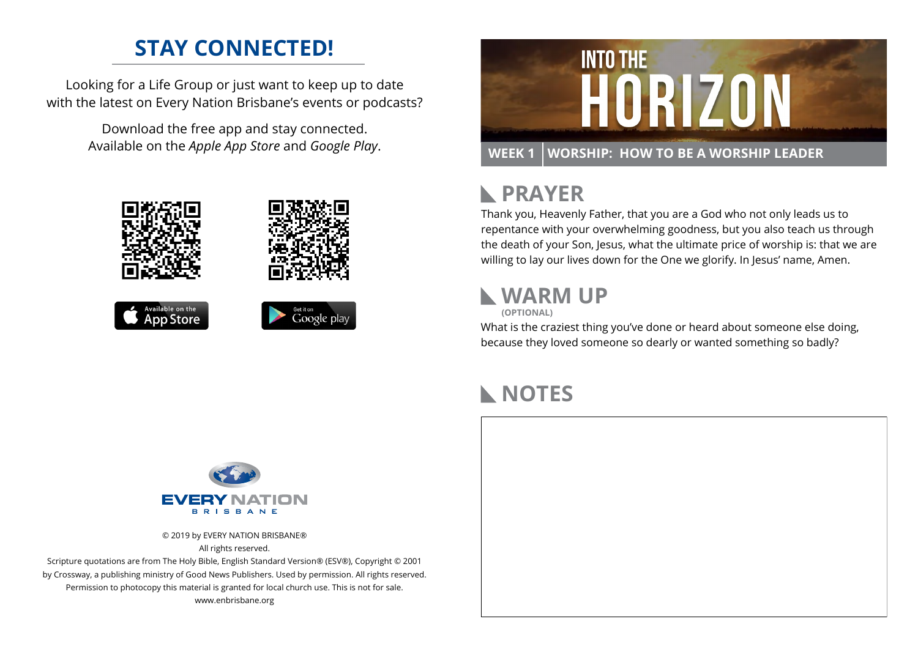### **STAY CONNECTED!**

Looking for a Life Group or just want to keep up to date with the latest on Every Nation Brisbane's events or podcasts?

> Download the free app and stay connected. Available on the *Apple App Store* and *Google Play*.





#### **PRAYER**  $\mathbb{R}$

Thank you, Heavenly Father, that you are a God who not only leads us to repentance with your overwhelming goodness, but you also teach us through the death of your Son, Jesus, what the ultimate price of worship is: that we are willing to lay our lives down for the One we glorify. In Jesus' name, Amen.

#### **WARM UP**



What is the craziest thing you've done or heard about someone else doing, because they loved someone so dearly or wanted something so badly?

### **NOTES**



© 2019 by EVERY NATION BRISBANE® All rights reserved.

Scripture quotations are from The Holy Bible, English Standard Version® (ESV®), Copyright © 2001 by Crossway, a publishing ministry of Good News Publishers. Used by permission. All rights reserved. Permission to photocopy this material is granted for local church use. This is not for sale. www.enbrisbane.org